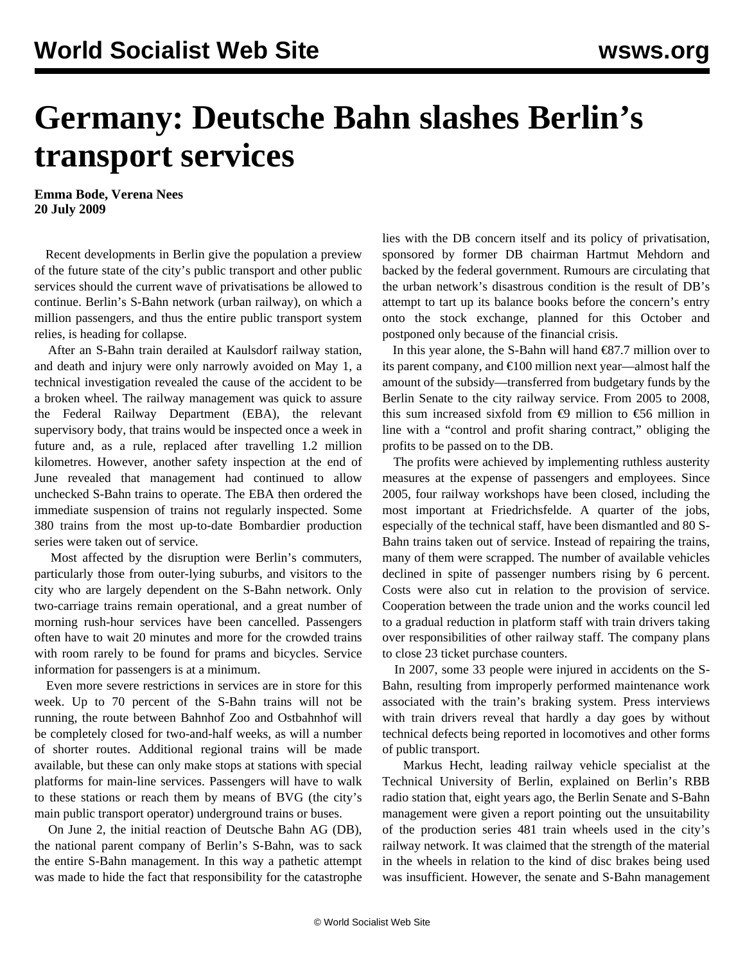## **Germany: Deutsche Bahn slashes Berlin's transport services**

**Emma Bode, Verena Nees 20 July 2009**

 Recent developments in Berlin give the population a preview of the future state of the city's public transport and other public services should the current wave of privatisations be allowed to continue. Berlin's S-Bahn network (urban railway), on which a million passengers, and thus the entire public transport system relies, is heading for collapse.

 After an S-Bahn train derailed at Kaulsdorf railway station, and death and injury were only narrowly avoided on May 1, a technical investigation revealed the cause of the accident to be a broken wheel. The railway management was quick to assure the Federal Railway Department (EBA), the relevant supervisory body, that trains would be inspected once a week in future and, as a rule, replaced after travelling 1.2 million kilometres. However, another safety inspection at the end of June revealed that management had continued to allow unchecked S-Bahn trains to operate. The EBA then ordered the immediate suspension of trains not regularly inspected. Some 380 trains from the most up-to-date Bombardier production series were taken out of service.

 Most affected by the disruption were Berlin's commuters, particularly those from outer-lying suburbs, and visitors to the city who are largely dependent on the S-Bahn network. Only two-carriage trains remain operational, and a great number of morning rush-hour services have been cancelled. Passengers often have to wait 20 minutes and more for the crowded trains with room rarely to be found for prams and bicycles. Service information for passengers is at a minimum.

 Even more severe restrictions in services are in store for this week. Up to 70 percent of the S-Bahn trains will not be running, the route between Bahnhof Zoo and Ostbahnhof will be completely closed for two-and-half weeks, as will a number of shorter routes. Additional regional trains will be made available, but these can only make stops at stations with special platforms for main-line services. Passengers will have to walk to these stations or reach them by means of BVG (the city's main public transport operator) underground trains or buses.

 On June 2, the initial reaction of Deutsche Bahn AG (DB), the national parent company of Berlin's S-Bahn, was to sack the entire S-Bahn management. In this way a pathetic attempt was made to hide the fact that responsibility for the catastrophe

lies with the DB concern itself and its policy of privatisation, sponsored by former DB chairman Hartmut Mehdorn and backed by the federal government. Rumours are circulating that the urban network's disastrous condition is the result of DB's attempt to tart up its balance books before the concern's entry onto the stock exchange, planned for this October and postponed only because of the financial crisis.

In this year alone, the S-Bahn will hand  $\epsilon$ 87.7 million over to its parent company, and €100 million next year—almost half the amount of the subsidy—transferred from budgetary funds by the Berlin Senate to the city railway service. From 2005 to 2008, this sum increased sixfold from  $\epsilon$ 9 million to  $\epsilon$ 56 million in line with a "control and profit sharing contract," obliging the profits to be passed on to the DB.

 The profits were achieved by implementing ruthless austerity measures at the expense of passengers and employees. Since 2005, four railway workshops have been closed, including the most important at Friedrichsfelde. A quarter of the jobs, especially of the technical staff, have been dismantled and 80 S-Bahn trains taken out of service. Instead of repairing the trains, many of them were scrapped. The number of available vehicles declined in spite of passenger numbers rising by 6 percent. Costs were also cut in relation to the provision of service. Cooperation between the trade union and the works council led to a gradual reduction in platform staff with train drivers taking over responsibilities of other railway staff. The company plans to close 23 ticket purchase counters.

 In 2007, some 33 people were injured in accidents on the S-Bahn, resulting from improperly performed maintenance work associated with the train's braking system. Press interviews with train drivers reveal that hardly a day goes by without technical defects being reported in locomotives and other forms of public transport.

 Markus Hecht, leading railway vehicle specialist at the Technical University of Berlin, explained on Berlin's RBB radio station that, eight years ago, the Berlin Senate and S-Bahn management were given a report pointing out the unsuitability of the production series 481 train wheels used in the city's railway network. It was claimed that the strength of the material in the wheels in relation to the kind of disc brakes being used was insufficient. However, the senate and S-Bahn management